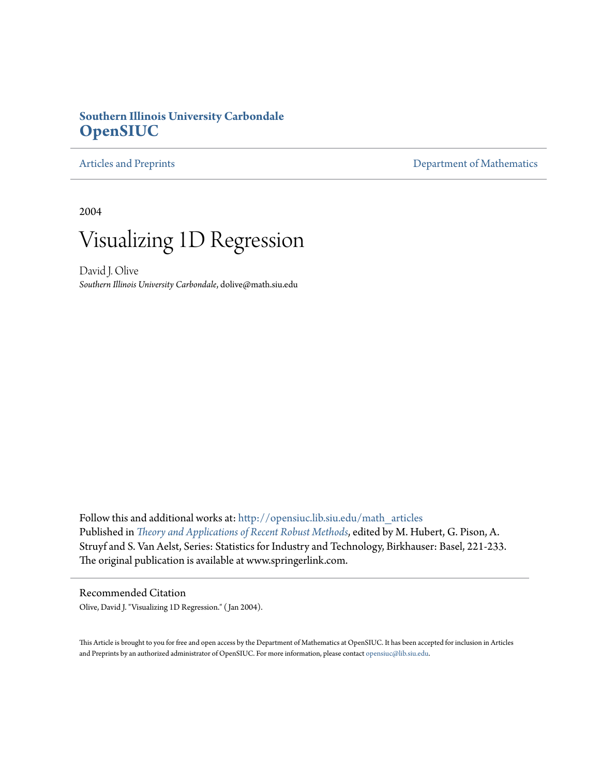# **Southern Illinois University Carbondale [OpenSIUC](http://opensiuc.lib.siu.edu?utm_source=opensiuc.lib.siu.edu%2Fmath_articles%2F15&utm_medium=PDF&utm_campaign=PDFCoverPages)**

[Articles and Preprints](http://opensiuc.lib.siu.edu/math_articles?utm_source=opensiuc.lib.siu.edu%2Fmath_articles%2F15&utm_medium=PDF&utm_campaign=PDFCoverPages) **[Department of Mathematics](http://opensiuc.lib.siu.edu/math?utm_source=opensiuc.lib.siu.edu%2Fmath_articles%2F15&utm_medium=PDF&utm_campaign=PDFCoverPages)** 

2004

# Visualizing 1D Regression

David J. Olive *Southern Illinois University Carbondale*, dolive@math.siu.edu

Follow this and additional works at: [http://opensiuc.lib.siu.edu/math\\_articles](http://opensiuc.lib.siu.edu/math_articles?utm_source=opensiuc.lib.siu.edu%2Fmath_articles%2F15&utm_medium=PDF&utm_campaign=PDFCoverPages) Published in *[Theory and Applications of Recent Robust Methods](http://www.springer.com/birkhauser/applied+probability+and+statistics/book/978-3-7643-7060-2)*, edited by M. Hubert, G. Pison, A. Struyf and S. Van Aelst, Series: Statistics for Industry and Technology, Birkhauser: Basel, 221-233. The original publication is available at www.springerlink.com.

Recommended Citation Olive, David J. "Visualizing 1D Regression." ( Jan 2004).

This Article is brought to you for free and open access by the Department of Mathematics at OpenSIUC. It has been accepted for inclusion in Articles and Preprints by an authorized administrator of OpenSIUC. For more information, please contact [opensiuc@lib.siu.edu](mailto:opensiuc@lib.siu.edu).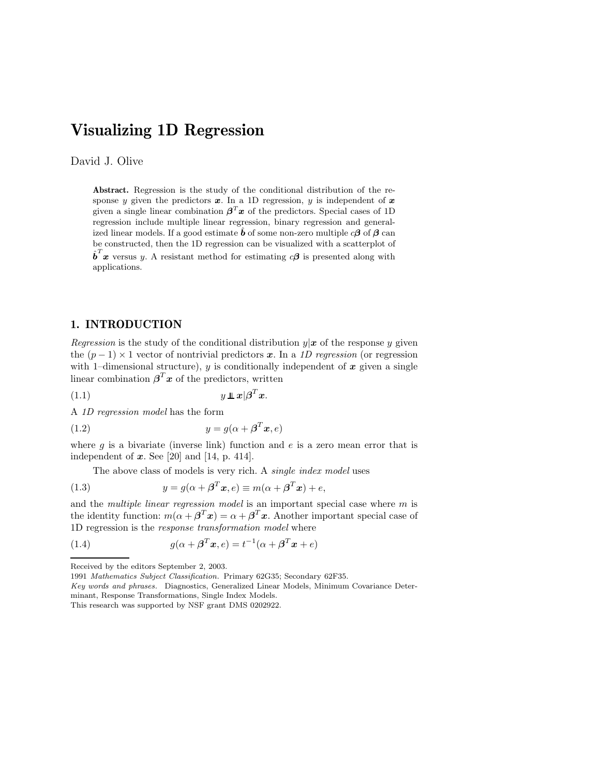# **Visualizing 1D Regression**

# David J. Olive

**Abstract.** Regression is the study of the conditional distribution of the response y given the predictors  $x$ . In a 1D regression, y is independent of  $x$ given a single linear combination  $\beta^T x$  of the predictors. Special cases of 1D regression include multiple linear regression, binary regression and generalized linear models. If a good estimate  $\hat{b}$  of some non-zero multiple  $c\beta$  of  $\beta$  can be constructed, then the 1D regression can be visualized with a scatterplot of  $\hat{b}^T x$  versus y. A resistant method for estimating  $c\beta$  is presented along with applications.

## **1. INTRODUCTION**

*Regression* is the study of the conditional distribution  $y|x$  of the response y given the  $(p-1) \times 1$  vector of nontrivial predictors x. In a 1D regression (or regression with 1–dimensional structure), y is conditionally independent of  $x$  given a single linear combination  $\beta^T x$  of the predictors, written

$$
(1.1) \t\t y \perp x \vert \beta^T x.
$$

A *1D regression model* has the form

$$
(1.2) \t\t y = g(\alpha + \beta^T \mathbf{x}, e)
$$

where q is a bivariate (inverse link) function and  $e$  is a zero mean error that is independent of *x*. See [20] and [14, p. 414].

The above class of models is very rich. A *single index model* uses

(1.3) 
$$
y = g(\alpha + \beta^T x, e) \equiv m(\alpha + \beta^T x) + e,
$$

and the *multiple linear regression model* is an important special case where m is the identity function:  $m(\alpha + \beta^T x) = \alpha + \beta^T x$ . Another important special case of 1D regression is the *response transformation model* where

(1.4) 
$$
g(\alpha + \beta^T \mathbf{x}, e) = t^{-1}(\alpha + \beta^T \mathbf{x} + e)
$$

Received by the editors September 2, 2003.

<sup>1991</sup> Mathematics Subject Classification. Primary 62G35; Secondary 62F35.

Key words and phrases. Diagnostics, Generalized Linear Models, Minimum Covariance Determinant, Response Transformations, Single Index Models.

This research was supported by NSF grant DMS 0202922.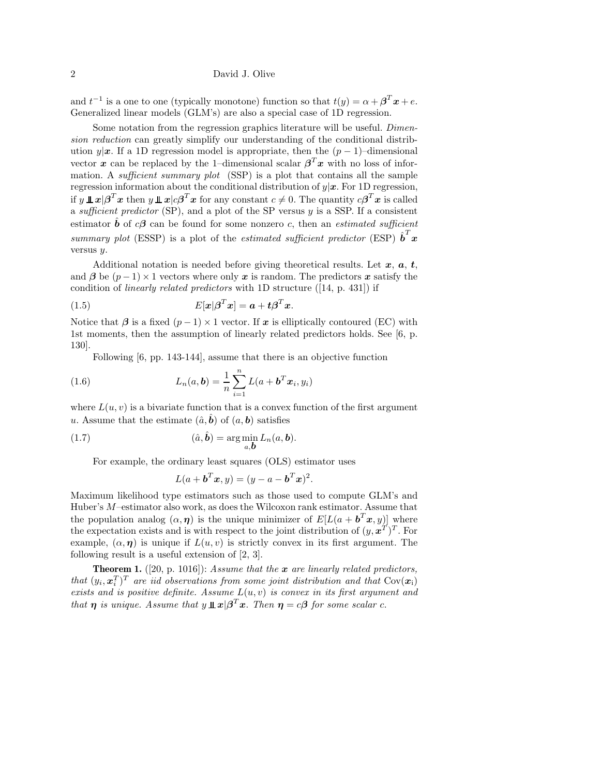and  $t^{-1}$  is a one to one (typically monotone) function so that  $t(y) = \alpha + \beta^{T} x + e$ . Generalized linear models (GLM's) are also a special case of 1D regression.

Some notation from the regression graphics literature will be useful. *Dimension reduction* can greatly simplify our understanding of the conditional distribution y|x. If a 1D regression model is appropriate, then the  $(p-1)$ –dimensional vector *x* can be replaced by the 1–dimensional scalar  $\beta^T x$  with no loss of information. A *sufficient summary plot* (SSP) is a plot that contains all the sample regression information about the conditional distribution of y|*x*. For 1D regression, if  $y \perp x | \beta^T x$  then  $y \perp x | c \beta^T x$  for any constant  $c \neq 0$ . The quantity  $c \beta^T x$  is called a *sufficient predictor* (SP), and a plot of the SP versus y is a SSP. If a consistent estimator  $\hat{b}$  of  $c\beta$  can be found for some nonzero c, then an *estimated sufficient summary plot* (ESSP) is a plot of the *estimated sufficient predictor* (ESP)  $\hat{\boldsymbol{b}}^T \boldsymbol{x}$ versus y.

Additional notation is needed before giving theoretical results. Let *x*, *a*, *t*, and  $\beta$  be  $(p-1) \times 1$  vectors where only x is random. The predictors x satisfy the condition of *linearly related predictors* with 1D structure ([14, p. 431]) if

(1.5) 
$$
E[\boldsymbol{x}|\boldsymbol{\beta}^T\boldsymbol{x}] = \boldsymbol{a} + t\boldsymbol{\beta}^T\boldsymbol{x}.
$$

Notice that  $\beta$  is a fixed  $(p-1) \times 1$  vector. If  $x$  is elliptically contoured (EC) with 1st moments, then the assumption of linearly related predictors holds. See [6, p. 130].

Following [6, pp. 143-144], assume that there is an objective function

(1.6) 
$$
L_n(a, b) = \frac{1}{n} \sum_{i=1}^n L(a + b^T x_i, y_i)
$$

where  $L(u, v)$  is a bivariate function that is a convex function of the first argument u. Assume that the estimate  $(\hat{a}, \hat{b})$  of  $(a, b)$  satisfies

(1.7) 
$$
(\hat{a}, \hat{b}) = \arg\min_{a, b} L_n(a, b).
$$

For example, the ordinary least squares (OLS) estimator uses

$$
L(a + bTx, y) = (y - a - bTx)2.
$$

Maximum likelihood type estimators such as those used to compute GLM's and Huber's M–estimator also work, as does the Wilcoxon rank estimator. Assume that the population analog  $(\alpha, \eta)$  is the unique minimizer of  $E[L(a + b^T x, y)]$  where the expectation exists and is with respect to the joint distribution of  $(y, x^T)^T$ . For example,  $(\alpha, \eta)$  is unique if  $L(u, v)$  is strictly convex in its first argument. The following result is a useful extension of [2, 3].

**Theorem 1.** ([20, p. 1016]): *Assume that the x are linearly related predictors, that*  $(y_i, x_i^T)^T$  *are iid observations from some joint distribution and that*  $Cov(x_i)$ *exists and is positive definite. Assume* L(u, v) *is convex in its first argument and that n is unique. Assume that*  $y \perp x | \beta^T x$ . *Then*  $\eta = c\beta$  *for some scalar* c.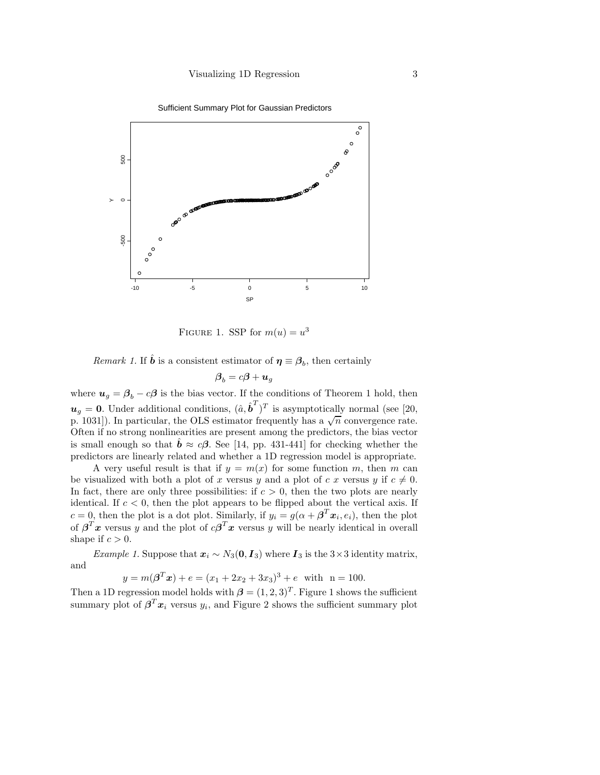Sufficient Summary Plot for Gaussian Predictors



FIGURE 1. SSP for  $m(u) = u^3$ 

*Remark 1.* If  $\hat{\mathbf{b}}$  is a consistent estimator of  $\boldsymbol{\eta} \equiv \boldsymbol{\beta}_b$ , then certainly

$$
\boldsymbol{\beta}_b = c\boldsymbol{\beta} + \boldsymbol{u}_g
$$

where  $u_g = \beta_b - c\beta$  is the bias vector. If the conditions of Theorem 1 hold, then  $u_g = 0$ . Under additional conditions,  $(\hat{a}, \hat{b}^T)^T$  is asymptotically normal (see [20, p. 1031]). In particular, the OLS estimator frequently has a  $\sqrt{n}$  convergence rate. Often if no strong nonlinearities are present among the predictors, the bias vector is small enough so that  $\hat{b} \approx c\beta$ . See [14, pp. 431-441] for checking whether the predictors are linearly related and whether a 1D regression model is appropriate.

A very useful result is that if  $y = m(x)$  for some function m, then m can be visualized with both a plot of x versus y and a plot of c x versus y if  $c \neq 0$ . In fact, there are only three possibilities: if  $c > 0$ , then the two plots are nearly identical. If  $c < 0$ , then the plot appears to be flipped about the vertical axis. If  $c = 0$ , then the plot is a dot plot. Similarly, if  $y_i = g(\alpha + \beta^T x_i, e_i)$ , then the plot of  $\beta^T x$  versus y and the plot of  $c\beta^T x$  versus y will be nearly identical in overall shape if  $c > 0$ .

*Example 1.* Suppose that  $x_i \sim N_3(0, I_3)$  where  $I_3$  is the 3×3 identity matrix, and

$$
y = m(\boldsymbol{\beta}^T \boldsymbol{x}) + e = (x_1 + 2x_2 + 3x_3)^3 + e \text{ with } n = 100.
$$

Then a 1D regression model holds with  $\boldsymbol{\beta} = (1, 2, 3)^T$ . Figure 1 shows the sufficient summary plot of  $\beta^T x_i$  versus  $y_i$ , and Figure 2 shows the sufficient summary plot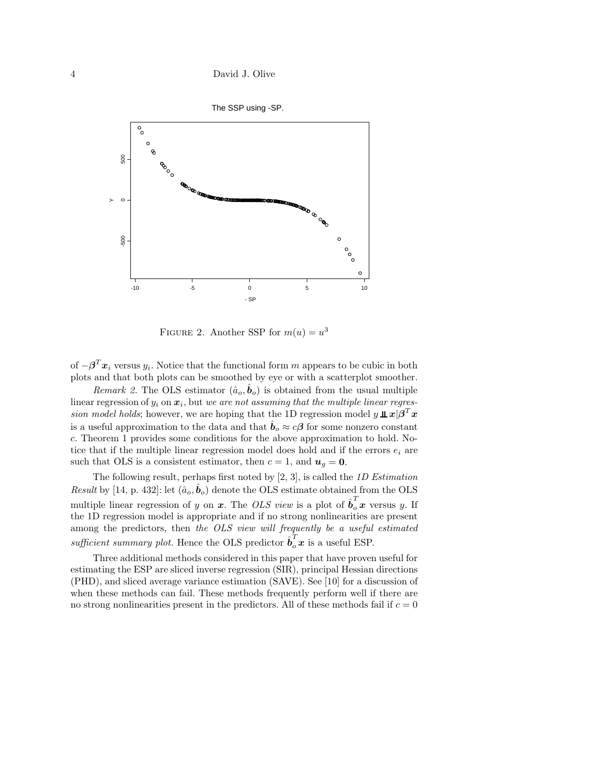

FIGURE 2. Another SSP for  $m(u) = u^3$ 

of  $-\beta^T x_i$  versus  $y_i$ . Notice that the functional form m appears to be cubic in both plots and that both plots can be smoothed by eye or with a scatterplot smoother.

*Remark 2.* The OLS estimator  $(\hat{a}_o, \hat{b}_o)$  is obtained from the usual multiple linear regression of  $y_i$  on  $x_i$ , but *we are not assuming that the multiple linear regression model holds*; however, we are hoping that the 1D regression model  $y \perp x/\beta^T x$ is a useful approximation to the data and that  $\hat{b}_o \approx c\beta$  for some nonzero constant c. Theorem 1 provides some conditions for the above approximation to hold. Notice that if the multiple linear regression model does hold and if the errors  $e_i$  are such that OLS is a consistent estimator, then  $c = 1$ , and  $u_g = 0$ .

The following result, perhaps first noted by [2, 3], is called the *1D Estimation Result* by [14, p. 432]: let  $(\hat{a}_o, \hat{b}_o)$  denote the OLS estimate obtained from the OLS multiple linear regression of y on x. The *OLS view* is a plot of  $\hat{\boldsymbol{b}}_o^T$  x versus y. If the 1D regression model is appropriate and if no strong nonlinearities are present among the predictors, then *the OLS view will frequently be a useful estimated*  $\textit{suffix}$  summary plot. Hence the OLS predictor  $\hat{\boldsymbol{b}}_o^T \boldsymbol{x}$  is a useful ESP.

Three additional methods considered in this paper that have proven useful for estimating the ESP are sliced inverse regression (SIR), principal Hessian directions (PHD), and sliced average variance estimation (SAVE). See [10] for a discussion of when these methods can fail. These methods frequently perform well if there are no strong nonlinearities present in the predictors. All of these methods fail if  $c = 0$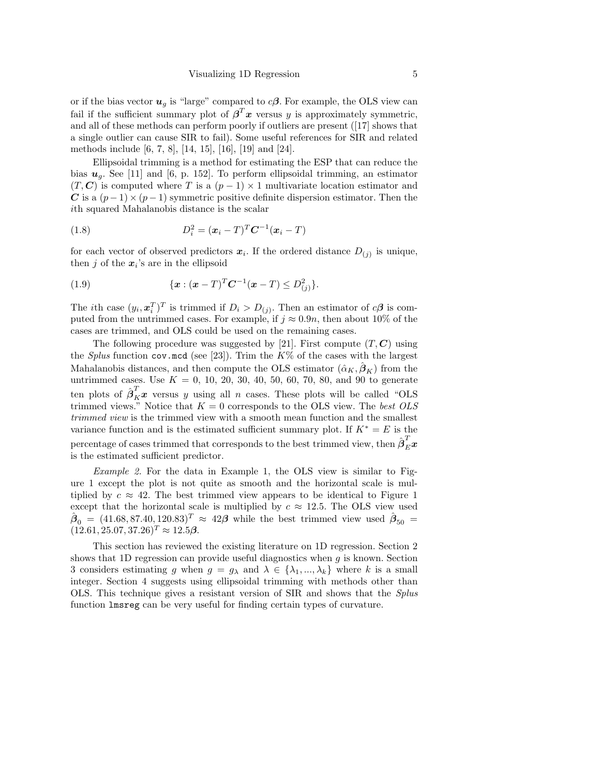or if the bias vector  $u_g$  is "large" compared to  $c\beta$ . For example, the OLS view can fail if the sufficient summary plot of  $\beta^T x$  versus y is approximately symmetric, and all of these methods can perform poorly if outliers are present ([17] shows that a single outlier can cause SIR to fail). Some useful references for SIR and related methods include [6, 7, 8], [14, 15], [16], [19] and [24].

Ellipsoidal trimming is a method for estimating the ESP that can reduce the bias  $u_q$ . See [11] and [6, p. 152]. To perform ellipsoidal trimming, an estimator  $(T, C)$  is computed where T is a  $(p-1) \times 1$  multivariate location estimator and *C* is a  $(p-1) \times (p-1)$  symmetric positive definite dispersion estimator. Then the ith squared Mahalanobis distance is the scalar

(1.8) 
$$
D_i^2 = (\pmb{x}_i - T)^T \pmb{C}^{-1} (\pmb{x}_i - T)
$$

for each vector of observed predictors  $x_i$ . If the ordered distance  $D_{(i)}$  is unique, then j of the  $x_i$ 's are in the ellipsoid

(1.9) 
$$
\{x:(x-T)^{T}C^{-1}(x-T)\leq D_{(j)}^{2}\}.
$$

The *i*th case  $(y_i, x_i^T)^T$  is trimmed if  $D_i > D_{(j)}$ . Then an estimator of  $c\beta$  is computed from the untrimmed cases. For example, if  $j \approx 0.9n$ , then about 10% of the cases are trimmed, and OLS could be used on the remaining cases.

The following procedure was suggested by [21]. First compute  $(T, C)$  using the *Splus* function cov.mcd (see [23]). Trim the  $K\%$  of the cases with the largest Mahalanobis distances, and then compute the OLS estimator  $(\hat{\alpha}_K, \hat{\beta}_K)$  from the untrimmed cases. Use  $K = 0, 10, 20, 30, 40, 50, 60, 70, 80,$  and 90 to generate ten plots of  $\hat{\boldsymbol{\beta}}_K^T \boldsymbol{x}$  versus y using all n cases. These plots will be called "OLS trimmed views." Notice that  $K = 0$  corresponds to the OLS view. The *best OLS trimmed view* is the trimmed view with a smooth mean function and the smallest variance function and is the estimated sufficient summary plot. If  $K^* = E$  is the  $\hat{\rho}_{E}^{T}$  percentage of cases trimmed that corresponds to the best trimmed view, then  $\hat{\rho}_{E}^{T}$ is the estimated sufficient predictor.

*Example 2.* For the data in Example 1, the OLS view is similar to Figure 1 except the plot is not quite as smooth and the horizontal scale is multiplied by  $c \approx 42$ . The best trimmed view appears to be identical to Figure 1 except that the horizontal scale is multiplied by  $c \approx 12.5$ . The OLS view used  $\hat{\boldsymbol{\beta}}_0 = (41.68, 87.40, 120.83)^T \approx 42\boldsymbol{\beta}$  while the best trimmed view used  $\hat{\boldsymbol{\beta}}_{50} =$  $(12.61, 25.07, 37.26)^T \approx 12.5\beta$ .

This section has reviewed the existing literature on 1D regression. Section 2 shows that 1D regression can provide useful diagnostics when  $g$  is known. Section 3 considers estimating g when  $g = g_{\lambda}$  and  $\lambda \in \{\lambda_1, ..., \lambda_k\}$  where k is a small integer. Section 4 suggests using ellipsoidal trimming with methods other than OLS. This technique gives a resistant version of SIR and shows that the *Splus* function lmsreg can be very useful for finding certain types of curvature.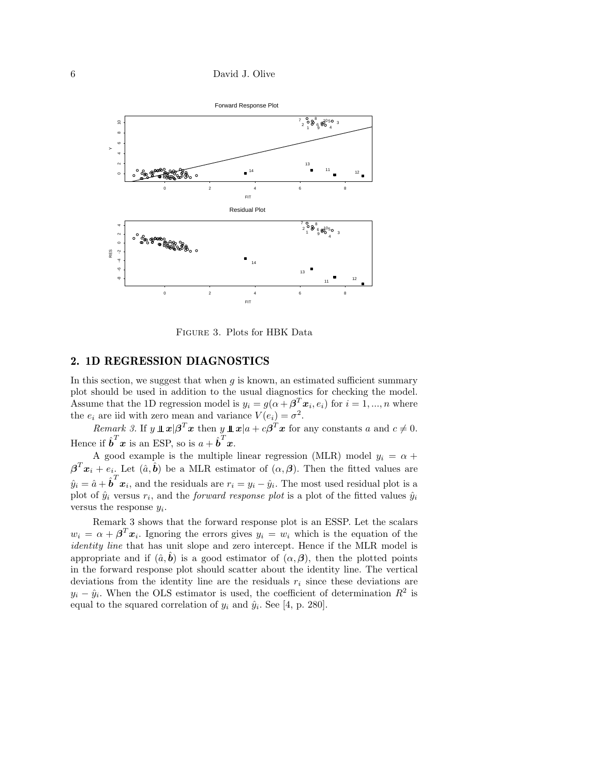

Figure 3. Plots for HBK Data

# **2. 1D REGRESSION DIAGNOSTICS**

In this section, we suggest that when  $q$  is known, an estimated sufficient summary plot should be used in addition to the usual diagnostics for checking the model. Assume that the 1D regression model is  $y_i = g(\alpha + \beta^T x_i, e_i)$  for  $i = 1, ..., n$  where the  $e_i$  are iid with zero mean and variance  $V(e_i) = \sigma^2$ .

*Remark 3.* If  $y \perp x | \beta^T x$  then  $y \perp x | a + c \beta^T x$  for any constants a and  $c \neq 0$ . Hence if  $\hat{\boldsymbol{b}}^T \boldsymbol{x}$  is an ESP, so is  $a + \hat{\boldsymbol{b}}^T \boldsymbol{x}$ .

A good example is the multiple linear regression (MLR) model  $y_i = \alpha +$  $\boldsymbol{\beta}^T \boldsymbol{x}_i + e_i$ . Let  $(\hat{a}, \hat{\boldsymbol{b}})$  be a MLR estimator of  $(\alpha, \beta)$ . Then the fitted values are  $\hat{y}_i = \hat{a} + \hat{b}^T x_i$ , and the residuals are  $r_i = y_i - \hat{y}_i$ . The most used residual plot is a plot of  $\hat{y}_i$  versus  $r_i$ , and the *forward response plot* is a plot of the fitted values  $\hat{y}_i$ versus the response  $y_i$ .

Remark 3 shows that the forward response plot is an ESSP. Let the scalars  $w_i = \alpha + \beta^T x_i$ . Ignoring the errors gives  $y_i = w_i$  which is the equation of the *identity line* that has unit slope and zero intercept. Hence if the MLR model is appropriate and if  $(\hat{a}, \hat{b})$  is a good estimator of  $(\alpha, \beta)$ , then the plotted points in the forward response plot should scatter about the identity line. The vertical deviations from the identity line are the residuals  $r_i$  since these deviations are  $y_i - \hat{y}_i$ . When the OLS estimator is used, the coefficient of determination  $R^2$  is equal to the squared correlation of  $y_i$  and  $\hat{y}_i$ . See [4, p. 280].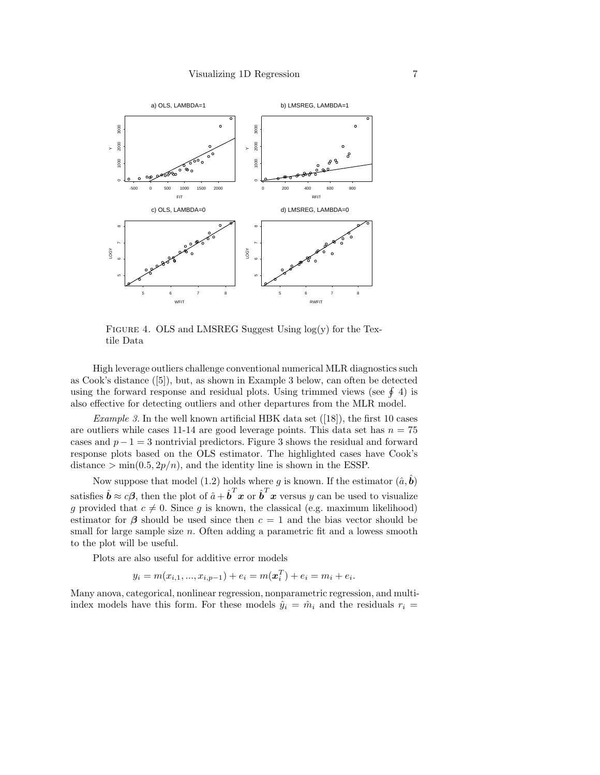

FIGURE 4. OLS and LMSREG Suggest Using  $log(y)$  for the Textile Data

High leverage outliers challenge conventional numerical MLR diagnostics such as Cook's distance ([5]), but, as shown in Example 3 below, can often be detected using the forward response and residual plots. Using trimmed views (see  $\oint$  4) is also effective for detecting outliers and other departures from the MLR model.

*Example 3.* In the well known artificial HBK data set ([18]), the first 10 cases are outliers while cases 11-14 are good leverage points. This data set has  $n = 75$ cases and  $p-1=3$  nontrivial predictors. Figure 3 shows the residual and forward response plots based on the OLS estimator. The highlighted cases have Cook's distance  $> min(0.5, 2p/n)$ , and the identity line is shown in the ESSP.

Now suppose that model (1.2) holds where g is known. If the estimator  $(\hat{a}, \hat{b})$ satisfies  $\hat{b} \approx c\beta$ , then the plot of  $\hat{a} + \hat{b}^T x$  or  $\hat{b}^T x$  versus y can be used to visualize g provided that  $c \neq 0$ . Since g is known, the classical (e.g. maximum likelihood) estimator for  $\beta$  should be used since then  $c = 1$  and the bias vector should be small for large sample size  $n$ . Often adding a parametric fit and a lowess smooth to the plot will be useful.

Plots are also useful for additive error models

$$
y_i = m(x_{i,1},...,x_{i,p-1}) + e_i = m(\boldsymbol{x}_i^T) + e_i = m_i + e_i.
$$

Many anova, categorical, nonlinear regression, nonparametric regression, and multiindex models have this form. For these models  $\hat{y}_i = \hat{m}_i$  and the residuals  $r_i =$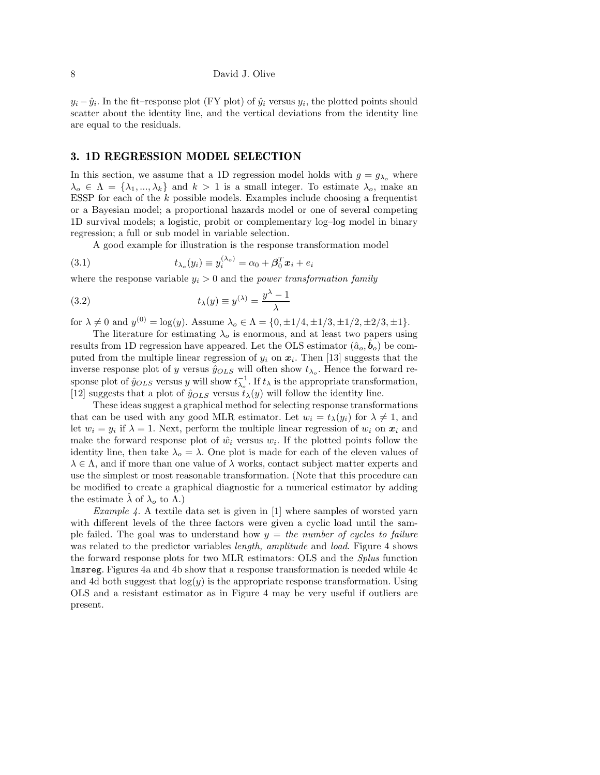$y_i - \hat{y}_i$ . In the fit–response plot (FY plot) of  $\hat{y}_i$  versus  $y_i$ , the plotted points should scatter about the identity line, and the vertical deviations from the identity line are equal to the residuals.

## **3. 1D REGRESSION MODEL SELECTION**

In this section, we assume that a 1D regression model holds with  $g = g_{\lambda_o}$  where  $\lambda_o \in \Lambda = {\lambda_1, ..., \lambda_k}$  and  $k > 1$  is a small integer. To estimate  $\lambda_o$ , make an ESSP for each of the  $k$  possible models. Examples include choosing a frequentist or a Bayesian model; a proportional hazards model or one of several competing 1D survival models; a logistic, probit or complementary log–log model in binary regression; a full or sub model in variable selection.

A good example for illustration is the response transformation model

(3.1) 
$$
t_{\lambda_o}(y_i) \equiv y_i^{(\lambda_o)} = \alpha_0 + \beta_0^T \mathbf{x}_i + e_i
$$

where the response variable  $y_i > 0$  and the *power transformation family* 

(3.2) 
$$
t_{\lambda}(y) \equiv y^{(\lambda)} = \frac{y^{\lambda} - 1}{\lambda}
$$

for  $\lambda \neq 0$  and  $y^{(0)} = \log(y)$ . Assume  $\lambda_o \in \Lambda = \{0, \pm 1/4, \pm 1/3, \pm 1/2, \pm 2/3, \pm 1\}.$ 

The literature for estimating  $\lambda_o$  is enormous, and at least two papers using results from 1D regression have appeared. Let the OLS estimator  $(\hat{a}_o, \hat{b}_o)$  be computed from the multiple linear regression of  $y_i$  on  $x_i$ . Then [13] suggests that the inverse response plot of y versus  $\hat{y}_{OLS}$  will often show  $t_{\lambda_o}$ . Hence the forward response plot of  $\hat{y}_{OLS}$  versus y will show  $t_{\lambda_o}^{-1}$ . If  $t_{\lambda}$  is the appropriate transformation, [12] suggests that a plot of  $\hat{y}_{OLS}$  versus  $\hat{t}_{\lambda}(y)$  will follow the identity line.

These ideas suggest a graphical method for selecting response transformations that can be used with any good MLR estimator. Let  $w_i = t_\lambda(y_i)$  for  $\lambda \neq 1$ , and let  $w_i = y_i$  if  $\lambda = 1$ . Next, perform the multiple linear regression of  $w_i$  on  $x_i$  and make the forward response plot of  $\hat{w}_i$  versus  $w_i$ . If the plotted points follow the identity line, then take  $\lambda_o = \lambda$ . One plot is made for each of the eleven values of  $\lambda \in \Lambda$ , and if more than one value of  $\lambda$  works, contact subject matter experts and use the simplest or most reasonable transformation. (Note that this procedure can be modified to create a graphical diagnostic for a numerical estimator by adding the estimate  $\lambda$  of  $\lambda_o$  to  $\Lambda$ .)

*Example 4.* A textile data set is given in [1] where samples of worsted yarn with different levels of the three factors were given a cyclic load until the sample failed. The goal was to understand how y = *the number of cycles to failure* was related to the predictor variables *length, amplitude* and *load*. Figure 4 shows the forward response plots for two MLR estimators: OLS and the *Splus* function lmsreg. Figures 4a and 4b show that a response transformation is needed while 4c and 4d both suggest that  $log(y)$  is the appropriate response transformation. Using OLS and a resistant estimator as in Figure 4 may be very useful if outliers are present.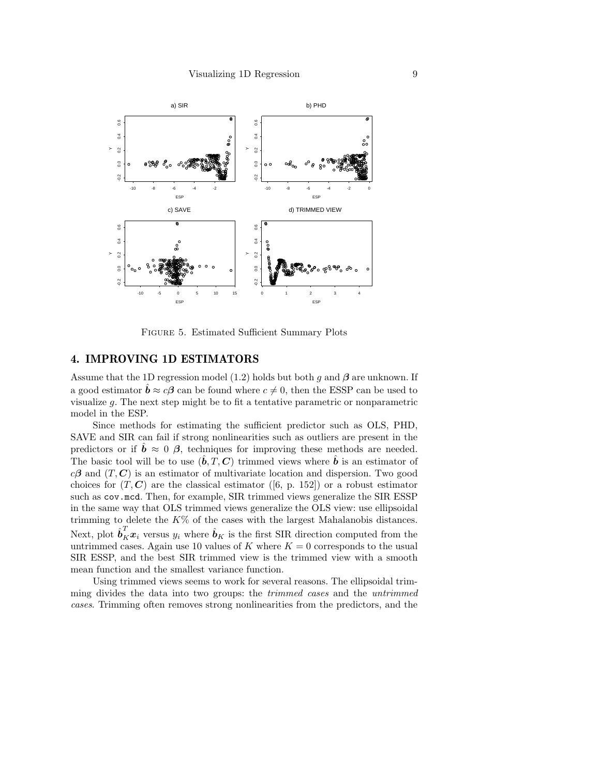

Figure 5. Estimated Sufficient Summary Plots

#### **4. IMPROVING 1D ESTIMATORS**

Assume that the 1D regression model (1.2) holds but both g and *β* are unknown. If a good estimator  $\hat{b} \approx c\beta$  can be found where  $c \neq 0$ , then the ESSP can be used to visualize g. The next step might be to fit a tentative parametric or nonparametric model in the ESP.

Since methods for estimating the sufficient predictor such as OLS, PHD, SAVE and SIR can fail if strong nonlinearities such as outliers are present in the predictors or if  $\ddot{\boldsymbol{b}} \approx 0$  *β*, techniques for improving these methods are needed. The basic tool will be to use  $(\hat{b}, T, C)$  trimmed views where  $\hat{b}$  is an estimator of  $c\beta$  and  $(T, C)$  is an estimator of multivariate location and dispersion. Two good choices for  $(T, C)$  are the classical estimator ([6, p. 152]) or a robust estimator such as cov.mcd. Then, for example, SIR trimmed views generalize the SIR ESSP in the same way that OLS trimmed views generalize the OLS view: use ellipsoidal trimming to delete the  $K\%$  of the cases with the largest Mahalanobis distances. Next, plot  $\hat{\boldsymbol{b}}_K^T \boldsymbol{x}_i$  versus  $y_i$  where  $\hat{\boldsymbol{b}}_K$  is the first SIR direction computed from the untrimmed cases. Again use 10 values of K where  $K = 0$  corresponds to the usual SIR ESSP, and the best SIR trimmed view is the trimmed view with a smooth mean function and the smallest variance function.

Using trimmed views seems to work for several reasons. The ellipsoidal trimming divides the data into two groups: the *trimmed cases* and the *untrimmed cases*. Trimming often removes strong nonlinearities from the predictors, and the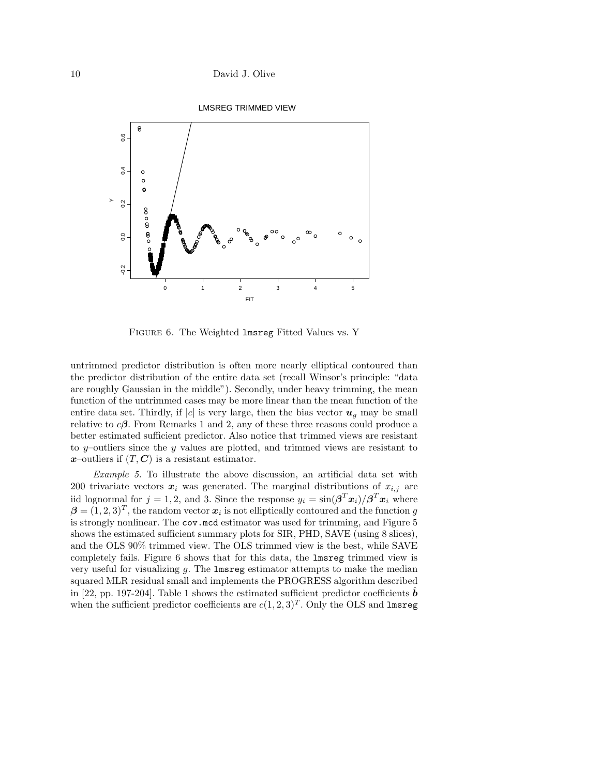

Figure 6. The Weighted lmsreg Fitted Values vs. Y

untrimmed predictor distribution is often more nearly elliptical contoured than the predictor distribution of the entire data set (recall Winsor's principle: "data are roughly Gaussian in the middle"). Secondly, under heavy trimming, the mean function of the untrimmed cases may be more linear than the mean function of the entire data set. Thirdly, if  $|c|$  is very large, then the bias vector  $u_q$  may be small relative to  $c\beta$ . From Remarks 1 and 2, any of these three reasons could produce a better estimated sufficient predictor. Also notice that trimmed views are resistant to  $y$ -outliers since the  $y$  values are plotted, and trimmed views are resistant to  $x$ –outliers if  $(T, C)$  is a resistant estimator.

*Example 5.* To illustrate the above discussion, an artificial data set with 200 trivariate vectors  $x_i$  was generated. The marginal distributions of  $x_{i,j}$  are iid lognormal for  $j = 1, 2$ , and 3. Since the response  $y_i = \sin(\beta^T x_i)/\beta^T x_i$  where  $\beta = (1, 2, 3)^T$ , the random vector  $x_i$  is not elliptically contoured and the function g is strongly nonlinear. The cov.mcd estimator was used for trimming, and Figure 5 shows the estimated sufficient summary plots for SIR, PHD, SAVE (using 8 slices), and the OLS 90% trimmed view. The OLS trimmed view is the best, while SAVE completely fails. Figure 6 shows that for this data, the lmsreg trimmed view is very useful for visualizing  $g$ . The lmsreg estimator attempts to make the median squared MLR residual small and implements the PROGRESS algorithm described in [22, pp. 197-204]. Table 1 shows the estimated sufficient predictor coefficients  $\hat{b}$ when the sufficient predictor coefficients are  $c(1, 2, 3)^T$ . Only the OLS and lmsreg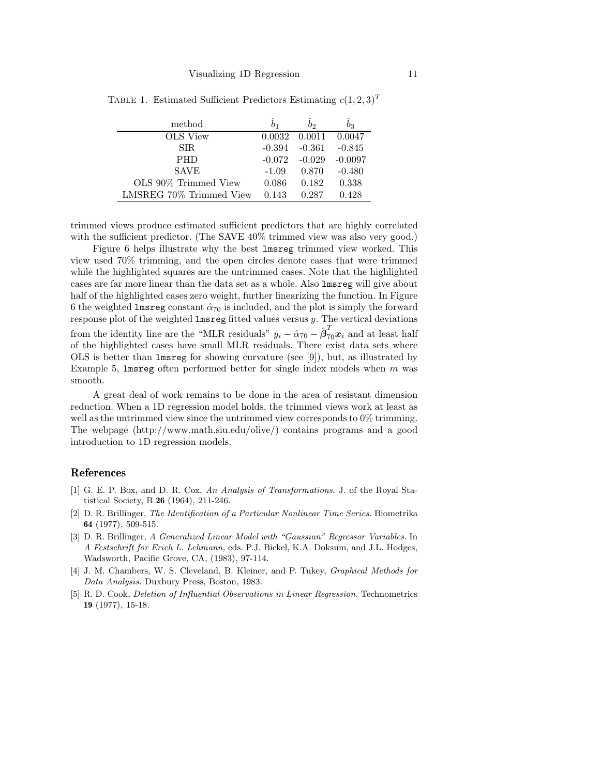| method                  |          | bо       | bз                |
|-------------------------|----------|----------|-------------------|
| OLS View                | 0.0032   |          | $0.0011$ $0.0047$ |
| SIR.                    | $-0.394$ | $-0.361$ | $-0.845$          |
| <b>PHD</b>              | $-0.072$ | $-0.029$ | $-0.0097$         |
| <b>SAVE</b>             | $-1.09$  | 0.870    | $-0.480$          |
| OLS 90% Trimmed View    | 0.086    | 0.182    | 0.338             |
| LMSREG 70% Trimmed View | 0.143    | 0.287    | 0.428             |

TABLE 1. Estimated Sufficient Predictors Estimating  $c(1, 2, 3)^T$ 

trimmed views produce estimated sufficient predictors that are highly correlated with the sufficient predictor. (The SAVE  $40\%$  trimmed view was also very good.)

Figure 6 helps illustrate why the best lmsreg trimmed view worked. This view used 70% trimming, and the open circles denote cases that were trimmed while the highlighted squares are the untrimmed cases. Note that the highlighted cases are far more linear than the data set as a whole. Also lmsreg will give about half of the highlighted cases zero weight, further linearizing the function. In Figure 6 the weighted lmsreg constant  $\hat{\alpha}_{70}$  is included, and the plot is simply the forward response plot of the weighted lmsreg fitted values versus y. The vertical deviations from the identity line are the "MLR residuals"  $y_i - \hat{\alpha}_{70} - \hat{\beta}_{70}^T x_i$  and at least half of the highlighted cases have small MLR residuals. There exist data sets where OLS is better than lmsreg for showing curvature (see [9]), but, as illustrated by Example 5, lmsreg often performed better for single index models when  $m$  was smooth.

A great deal of work remains to be done in the area of resistant dimension reduction. When a 1D regression model holds, the trimmed views work at least as well as the untrimmed view since the untrimmed view corresponds to 0% trimming. The webpage (http://www.math.siu.edu/olive/) contains programs and a good introduction to 1D regression models.

### **References**

- [1] G. E. P. Box, and D. R. Cox, *An Analysis of Transformations.* J. of the Royal Statistical Society, B **26** (1964), 211-246.
- [2] D. R. Brillinger, *The Identification of a Particular Nonlinear Time Series.* Biometrika **64** (1977), 509-515.
- [3] D. R. Brillinger, *A Generalized Linear Model with "Gaussian" Regressor Variables.* In *A Festschrift for Erich L. Lehmann,* eds. P.J. Bickel, K.A. Doksum, and J.L. Hodges, Wadsworth, Pacific Grove, CA, (1983), 97-114.
- [4] J. M. Chambers, W. S. Cleveland, B. Kleiner, and P. Tukey, *Graphical Methods for Data Analysis.* Duxbury Press, Boston, 1983.
- [5] R. D. Cook, *Deletion of Influential Observations in Linear Regression.* Technometrics **19** (1977), 15-18.